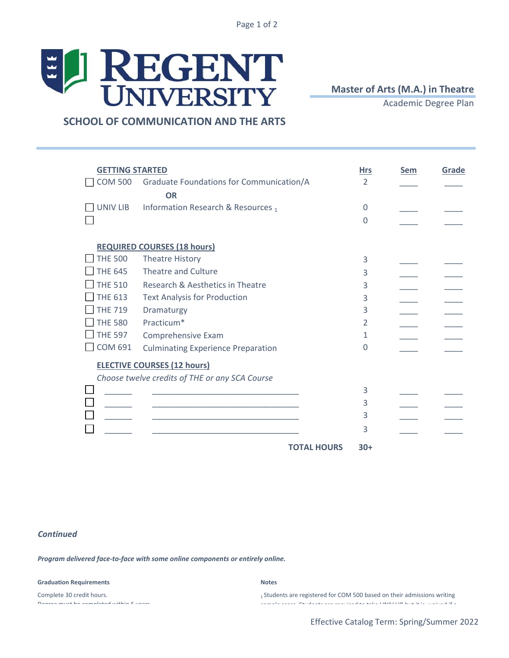Page 1 of 2

## EL REGENT

**Master of Arts (M.A.) in Theatre** 

Academic Degree Plan

 **SCHOOL OF COMMUNICATION AND THE ARTS**

| <b>GETTING STARTED</b> |                                                |                    | <b>Hrs</b>    | <b>Sem</b> | Grade |
|------------------------|------------------------------------------------|--------------------|---------------|------------|-------|
| <b>COM 500</b>         | Graduate Foundations for Communication/A       |                    | $\mathcal{P}$ |            |       |
|                        | <b>OR</b>                                      |                    |               |            |       |
| UNIV LIB               | Information Research & Resources 1             |                    | 0             |            |       |
|                        |                                                |                    | U             |            |       |
|                        |                                                |                    |               |            |       |
|                        | <b>REQUIRED COURSES (18 hours)</b>             |                    |               |            |       |
| <b>THE 500</b>         | <b>Theatre History</b>                         |                    | 3             |            |       |
| <b>THE 645</b>         | Theatre and Culture                            |                    | 3             |            |       |
| <b>THE 510</b>         | Research & Aesthetics in Theatre               |                    | 3             |            |       |
| <b>THE 613</b>         | <b>Text Analysis for Production</b>            |                    | 3             |            |       |
| <b>THE 719</b>         | Dramaturgy                                     |                    | 3             |            |       |
| <b>THE 580</b>         | Practicum*                                     |                    | 2             |            |       |
| <b>THE 597</b>         | Comprehensive Exam                             |                    | 1             |            |       |
| <b>COM 691</b>         | <b>Culminating Experience Preparation</b>      |                    | 0             |            |       |
|                        | <b>ELECTIVE COURSES (12 hours)</b>             |                    |               |            |       |
|                        | Choose twelve credits of THE or any SCA Course |                    |               |            |       |
|                        |                                                |                    | 3             |            |       |
|                        |                                                |                    | 3             |            |       |
|                        |                                                |                    | 3             |            |       |
|                        |                                                |                    | 3             |            |       |
|                        |                                                |                    |               |            |       |
|                        |                                                | <b>TOTAL HOURS</b> | $30+$         |            |       |

## *Continued*

*Program delivered face-to-face with some online components or entirely online.*

## **Graduation Requirements** Notes

Complete 30 credit hours. Degree must be completed within 5 years.

1 Students are registered for COM 500 based on their admissions writing sample score score. Studients are required to take UNIV Library waived in the take UNIV Library of a